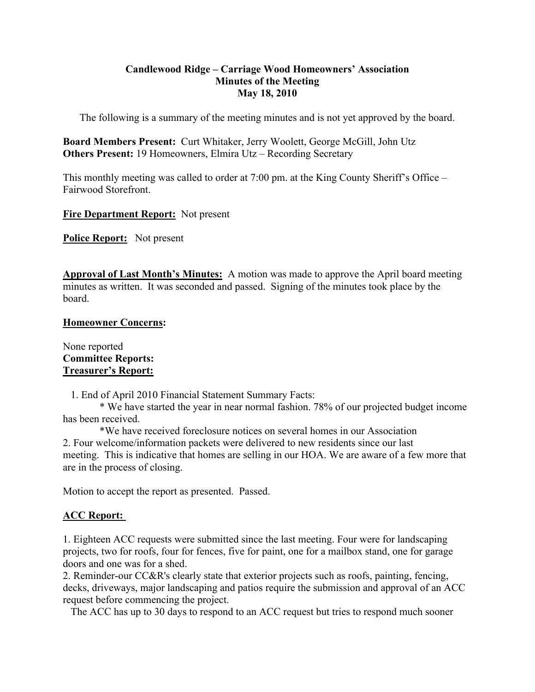# **Candlewood Ridge – Carriage Wood Homeowners' Association Minutes of the Meeting May 18, 2010**

The following is a summary of the meeting minutes and is not yet approved by the board.

**Board Members Present:** Curt Whitaker, Jerry Woolett, George McGill, John Utz **Others Present:** 19 Homeowners, Elmira Utz – Recording Secretary

This monthly meeting was called to order at 7:00 pm. at the King County Sheriff's Office – Fairwood Storefront.

**Fire Department Report:** Not present

**Police Report:** Not present

**Approval of Last Month's Minutes:** A motion was made to approve the April board meeting minutes as written. It was seconded and passed. Signing of the minutes took place by the board.

# **Homeowner Concerns:**

None reported **Committee Reports: Treasurer's Report:**

1. End of April 2010 Financial Statement Summary Facts:

 \* We have started the year in near normal fashion. 78% of our projected budget income has been received.

 \*We have received foreclosure notices on several homes in our Association 2. Four welcome/information packets were delivered to new residents since our last meeting. This is indicative that homes are selling in our HOA. We are aware of a few more that are in the process of closing.

Motion to accept the report as presented. Passed.

# **ACC Report:**

1. Eighteen ACC requests were submitted since the last meeting. Four were for landscaping projects, two for roofs, four for fences, five for paint, one for a mailbox stand, one for garage doors and one was for a shed.

2. Reminder-our CC&R's clearly state that exterior projects such as roofs, painting, fencing, decks, driveways, major landscaping and patios require the submission and approval of an ACC request before commencing the project.

The ACC has up to 30 days to respond to an ACC request but tries to respond much sooner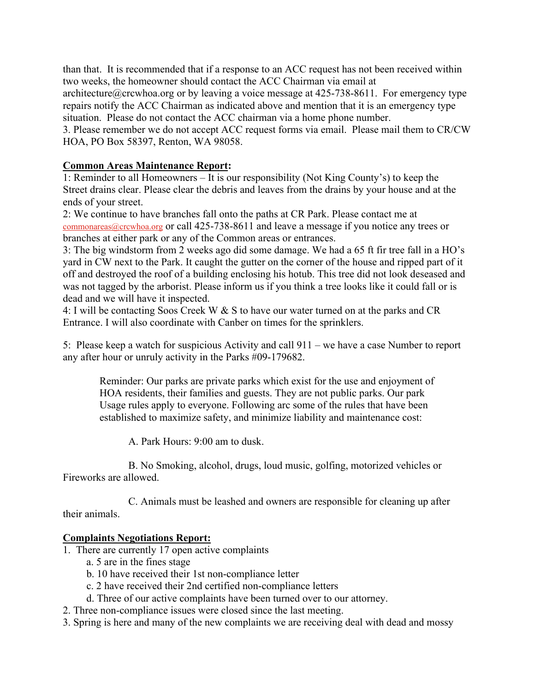than that. It is recommended that if a response to an ACC request has not been received within two weeks, the homeowner should contact the ACC Chairman via email at

architecture@crcwhoa.org or by leaving a voice message at  $425-738-8611$ . For emergency type repairs notify the ACC Chairman as indicated above and mention that it is an emergency type situation. Please do not contact the ACC chairman via a home phone number.

3. Please remember we do not accept ACC request forms via email. Please mail them to CR/CW HOA, PO Box 58397, Renton, WA 98058.

# **Common Areas Maintenance Report:**

1: Reminder to all Homeowners – It is our responsibility (Not King County's) to keep the Street drains clear. Please clear the debris and leaves from the drains by your house and at the ends of your street.

2: We continue to have branches fall onto the paths at CR Park. Please contact me at commonareas@crcwhoa.org or call 425-738-8611 and leave a message if you notice any trees or branches at either park or any of the Common areas or entrances.

3: The big windstorm from 2 weeks ago did some damage. We had a 65 ft fir tree fall in a HO's yard in CW next to the Park. It caught the gutter on the corner of the house and ripped part of it off and destroyed the roof of a building enclosing his hotub. This tree did not look deseased and was not tagged by the arborist. Please inform us if you think a tree looks like it could fall or is dead and we will have it inspected.

4: I will be contacting Soos Creek W & S to have our water turned on at the parks and CR Entrance. I will also coordinate with Canber on times for the sprinklers.

5: Please keep a watch for suspicious Activity and call 911 – we have a case Number to report any after hour or unruly activity in the Parks #09-179682.

 Reminder: Our parks are private parks which exist for the use and enjoyment of HOA residents, their families and guests. They are not public parks. Our park Usage rules apply to everyone. Following arc some of the rules that have been established to maximize safety, and minimize liability and maintenance cost:

A. Park Hours: 9:00 am to dusk.

 B. No Smoking, alcohol, drugs, loud music, golfing, motorized vehicles or Fireworks are allowed.

 C. Animals must be leashed and owners are responsible for cleaning up after their animals.

# **Complaints Negotiations Report:**

- 1. There are currently 17 open active complaints
	- a. 5 are in the fines stage
	- b. 10 have received their 1st non-compliance letter
	- c. 2 have received their 2nd certified non-compliance letters
	- d. Three of our active complaints have been turned over to our attorney.
- 2. Three non-compliance issues were closed since the last meeting.
- 3. Spring is here and many of the new complaints we are receiving deal with dead and mossy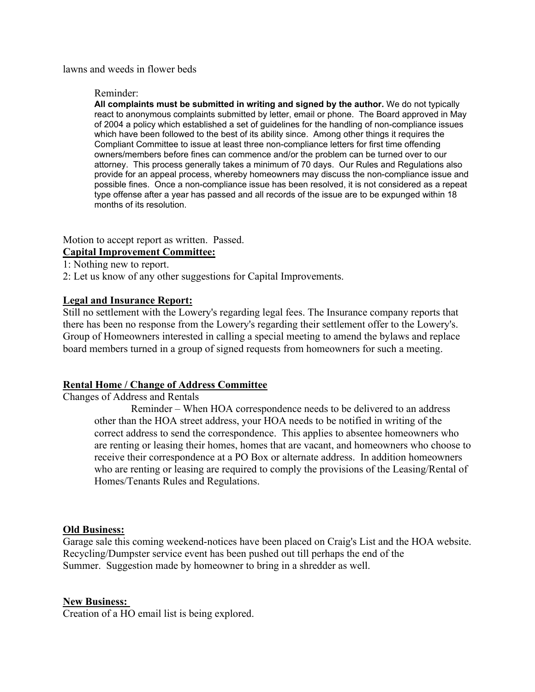lawns and weeds in flower beds

#### Reminder:

**All complaints must be submitted in writing and signed by the author.** We do not typically react to anonymous complaints submitted by letter, email or phone. The Board approved in May of 2004 a policy which established a set of guidelines for the handling of non-compliance issues which have been followed to the best of its ability since. Among other things it requires the Compliant Committee to issue at least three non-compliance letters for first time offending owners/members before fines can commence and/or the problem can be turned over to our attorney. This process generally takes a minimum of 70 days. Our Rules and Regulations also provide for an appeal process, whereby homeowners may discuss the non-compliance issue and possible fines. Once a non-compliance issue has been resolved, it is not considered as a repeat type offense after a year has passed and all records of the issue are to be expunged within 18 months of its resolution.

Motion to accept report as written. Passed.

# **Capital Improvement Committee:**

1: Nothing new to report.

2: Let us know of any other suggestions for Capital Improvements.

#### **Legal and Insurance Report:**

Still no settlement with the Lowery's regarding legal fees. The Insurance company reports that there has been no response from the Lowery's regarding their settlement offer to the Lowery's. Group of Homeowners interested in calling a special meeting to amend the bylaws and replace board members turned in a group of signed requests from homeowners for such a meeting.

# **Rental Home / Change of Address Committee**

Changes of Address and Rentals

 Reminder – When HOA correspondence needs to be delivered to an address other than the HOA street address, your HOA needs to be notified in writing of the correct address to send the correspondence. This applies to absentee homeowners who are renting or leasing their homes, homes that are vacant, and homeowners who choose to receive their correspondence at a PO Box or alternate address. In addition homeowners who are renting or leasing are required to comply the provisions of the Leasing/Rental of Homes/Tenants Rules and Regulations.

#### **Old Business:**

Garage sale this coming weekend-notices have been placed on Craig's List and the HOA website. Recycling/Dumpster service event has been pushed out till perhaps the end of the Summer. Suggestion made by homeowner to bring in a shredder as well.

#### **New Business:**

Creation of a HO email list is being explored.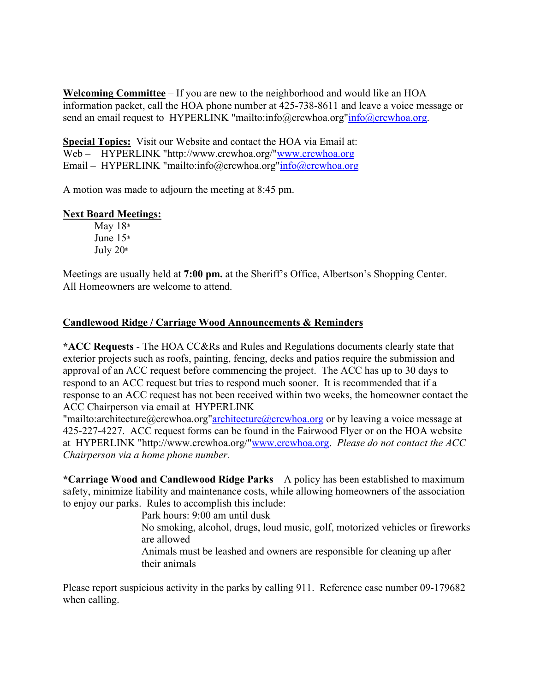**Welcoming Committee** – If you are new to the neighborhood and would like an HOA information packet, call the HOA phone number at 425-738-8611 and leave a voice message or send an email request to HYPERLINK "mailto:info@crcwhoa.org"info@crcwhoa.org.

**Special Topics:** Visit our Website and contact the HOA via Email at: Web – HYPERLINK "http://www.crcwhoa.org/"www.crcwhoa.org

Email – HYPERLINK "mailto:info@crcwhoa.org"info@crcwhoa.org

A motion was made to adjourn the meeting at 8:45 pm.

# **Next Board Meetings:**

May  $18<sup>th</sup>$ June  $15<sup>th</sup>$ July  $20<sup>th</sup>$ 

Meetings are usually held at **7:00 pm.** at the Sheriff's Office, Albertson's Shopping Center. All Homeowners are welcome to attend.

# **Candlewood Ridge / Carriage Wood Announcements & Reminders**

**\*ACC Requests** - The HOA CC&Rs and Rules and Regulations documents clearly state that exterior projects such as roofs, painting, fencing, decks and patios require the submission and approval of an ACC request before commencing the project. The ACC has up to 30 days to respond to an ACC request but tries to respond much sooner. It is recommended that if a response to an ACC request has not been received within two weeks, the homeowner contact the ACC Chairperson via email at HYPERLINK

"mailto:architecture@crcwhoa.org"architecture@crcwhoa.org or by leaving a voice message at 425-227-4227. ACC request forms can be found in the Fairwood Flyer or on the HOA website at HYPERLINK "http://www.crcwhoa.org/"www.crcwhoa.org. *Please do not contact the ACC Chairperson via a home phone number.*

**\*Carriage Wood and Candlewood Ridge Parks** – A policy has been established to maximum safety, minimize liability and maintenance costs, while allowing homeowners of the association to enjoy our parks. Rules to accomplish this include:

Park hours: 9:00 am until dusk

No smoking, alcohol, drugs, loud music, golf, motorized vehicles or fireworks are allowed

Animals must be leashed and owners are responsible for cleaning up after their animals

Please report suspicious activity in the parks by calling 911. Reference case number 09-179682 when calling.